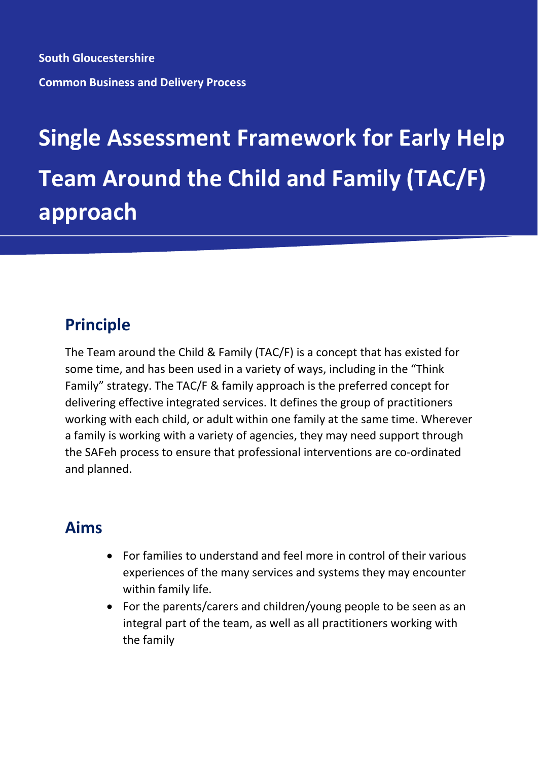**South Gloucestershire Common Business and Delivery Process**

# **Single Assessment Framework for Early Help Team Around the Child and Family (TAC/F) approach**

## **Principle**

The Team around the Child & Family (TAC/F) is a concept that has existed for some time, and has been used in a variety of ways, including in the "Think Family" strategy. The TAC/F & family approach is the preferred concept for delivering effective integrated services. It defines the group of practitioners working with each child, or adult within one family at the same time. Wherever a family is working with a variety of agencies, they may need support through the SAFeh process to ensure that professional interventions are co-ordinated and planned.

### **Aims**

- For families to understand and feel more in control of their various experiences of the many services and systems they may encounter within family life.
- For the parents/carers and children/young people to be seen as an integral part of the team, as well as all practitioners working with the family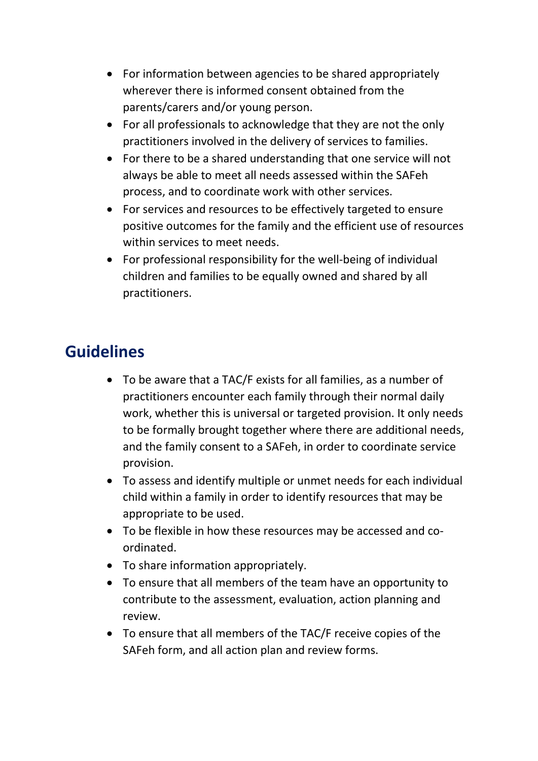- For information between agencies to be shared appropriately wherever there is informed consent obtained from the parents/carers and/or young person.
- For all professionals to acknowledge that they are not the only practitioners involved in the delivery of services to families.
- For there to be a shared understanding that one service will not always be able to meet all needs assessed within the SAFeh process, and to coordinate work with other services.
- For services and resources to be effectively targeted to ensure positive outcomes for the family and the efficient use of resources within services to meet needs.
- For professional responsibility for the well-being of individual children and families to be equally owned and shared by all practitioners.

#### **Guidelines**

- To be aware that a TAC/F exists for all families, as a number of practitioners encounter each family through their normal daily work, whether this is universal or targeted provision. It only needs to be formally brought together where there are additional needs, and the family consent to a SAFeh, in order to coordinate service provision.
- To assess and identify multiple or unmet needs for each individual child within a family in order to identify resources that may be appropriate to be used.
- To be flexible in how these resources may be accessed and coordinated.
- To share information appropriately.
- To ensure that all members of the team have an opportunity to contribute to the assessment, evaluation, action planning and review.
- To ensure that all members of the TAC/F receive copies of the SAFeh form, and all action plan and review forms.